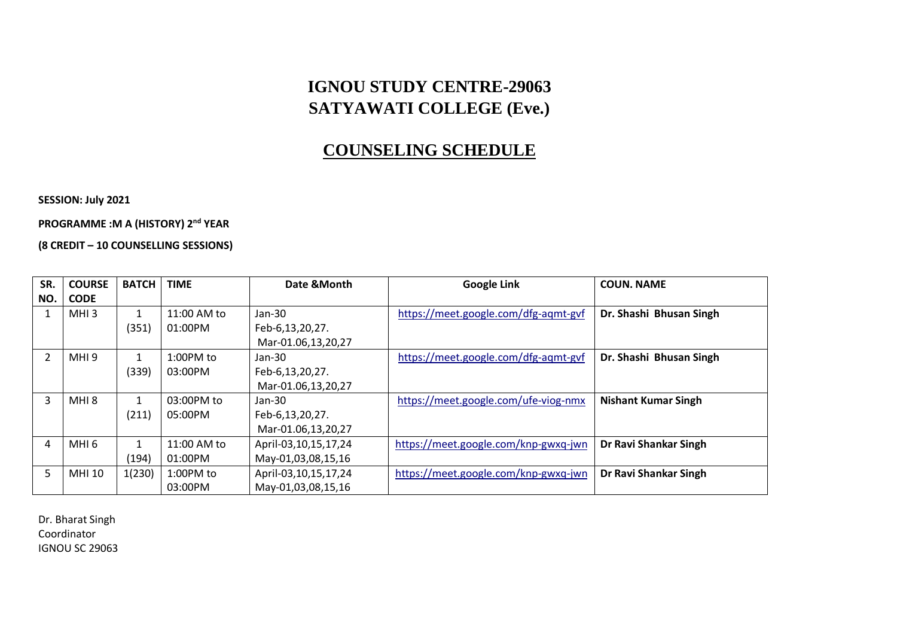## **IGNOU STUDY CENTRE-29063 SATYAWATI COLLEGE (Eve.)**

## **COUNSELING SCHEDULE**

**SESSION: July 2021**

**PROGRAMME :M A (HISTORY) 2nd YEAR** 

**(8 CREDIT – 10 COUNSELLING SESSIONS)**

| SR. | <b>COURSE</b>    | <b>BATCH</b> | <b>TIME</b> | Date & Month         | <b>Google Link</b>                   | <b>COUN. NAME</b>          |
|-----|------------------|--------------|-------------|----------------------|--------------------------------------|----------------------------|
| NO. | <b>CODE</b>      |              |             |                      |                                      |                            |
|     | MHI <sub>3</sub> |              | 11:00 AM to | Jan-30               | https://meet.google.com/dfg-agmt-gvf | Dr. Shashi Bhusan Singh    |
|     |                  | (351)        | 01:00PM     | Feb-6,13,20,27.      |                                      |                            |
|     |                  |              |             | Mar-01.06,13,20,27   |                                      |                            |
|     | MHI9             | $\mathbf{1}$ | $1:00PM$ to | Jan-30               | https://meet.google.com/dfg-aqmt-gvf | Dr. Shashi Bhusan Singh    |
|     |                  | (339)        | 03:00PM     | Feb-6,13,20,27.      |                                      |                            |
|     |                  |              |             | Mar-01.06,13,20,27   |                                      |                            |
| 3   | MHI 8            | $\mathbf{1}$ | 03:00PM to  | $Jan-30$             | https://meet.google.com/ufe-viog-nmx | <b>Nishant Kumar Singh</b> |
|     |                  | (211)        | 05:00PM     | Feb-6,13,20,27.      |                                      |                            |
|     |                  |              |             | Mar-01.06,13,20,27   |                                      |                            |
| 4   | MHI 6            | $\mathbf{1}$ | 11:00 AM to | April-03,10,15,17,24 | https://meet.google.com/knp-gwxq-jwn | Dr Ravi Shankar Singh      |
|     |                  | (194)        | 01:00PM     | May-01,03,08,15,16   |                                      |                            |
| 5   | MHI 10           | 1(230)       | $1:00PM$ to | April-03,10,15,17,24 | https://meet.google.com/knp-gwxq-jwn | Dr Ravi Shankar Singh      |
|     |                  |              | 03:00PM     | May-01,03,08,15,16   |                                      |                            |

Dr. Bharat Singh Coordinator IGNOU SC 29063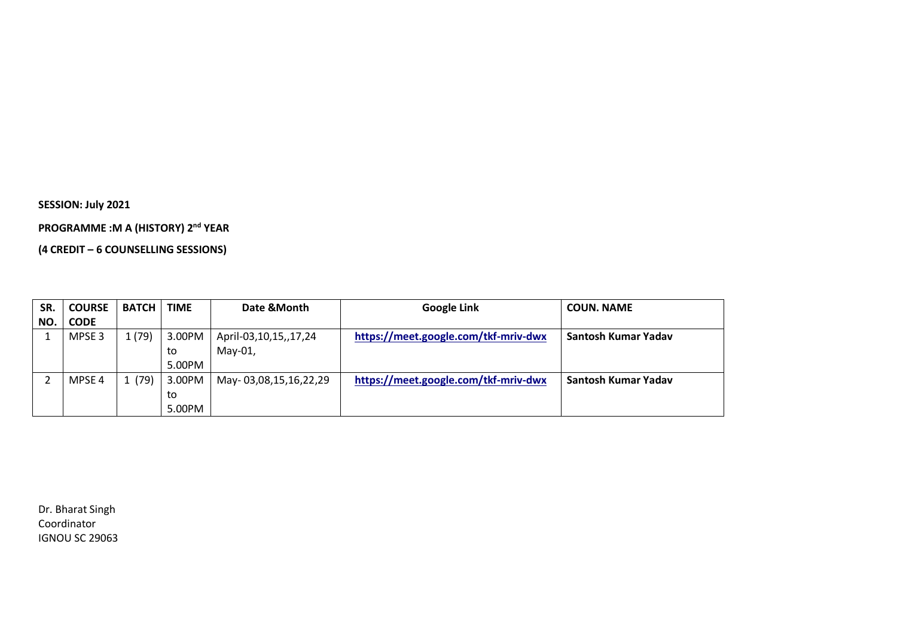**SESSION: July 2021**

**PROGRAMME :M A (HISTORY) 2nd YEAR** 

**(4 CREDIT – 6 COUNSELLING SESSIONS)**

| SR. | <b>COURSE</b>     | <b>BATCH</b> | <b>TIME</b> | Date & Month          | <b>Google Link</b>                   | <b>COUN. NAME</b>   |
|-----|-------------------|--------------|-------------|-----------------------|--------------------------------------|---------------------|
| NO. | <b>CODE</b>       |              |             |                       |                                      |                     |
|     | MPSE <sub>3</sub> | 1(79)        | 3.00PM      | April-03,10,15,,17,24 | https://meet.google.com/tkf-mriv-dwx | Santosh Kumar Yadav |
|     |                   |              | to          | May-01,               |                                      |                     |
|     |                   |              | 5.00PM      |                       |                                      |                     |
|     | MPSE 4            | (79)         | 3.00PM      | May-03,08,15,16,22,29 | https://meet.google.com/tkf-mriv-dwx | Santosh Kumar Yadav |
|     |                   |              | to          |                       |                                      |                     |
|     |                   |              | 5.00PM      |                       |                                      |                     |

Dr. Bharat Singh Coordinator IGNOU SC 29063